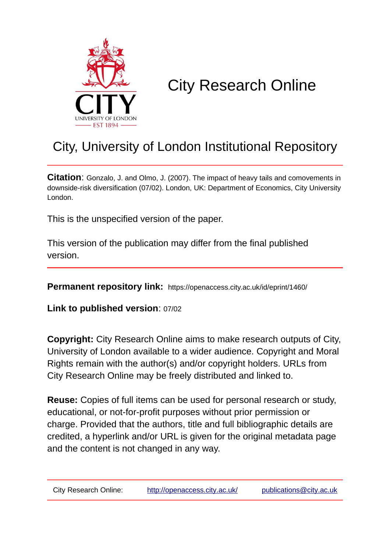

# City Research Online

## City, University of London Institutional Repository

**Citation**: Gonzalo, J. and Olmo, J. (2007). The impact of heavy tails and comovements in downside-risk diversification (07/02). London, UK: Department of Economics, City University London.

This is the unspecified version of the paper.

This version of the publication may differ from the final published version.

**Permanent repository link:** https://openaccess.city.ac.uk/id/eprint/1460/

**Link to published version**: 07/02

**Copyright:** City Research Online aims to make research outputs of City, University of London available to a wider audience. Copyright and Moral Rights remain with the author(s) and/or copyright holders. URLs from City Research Online may be freely distributed and linked to.

**Reuse:** Copies of full items can be used for personal research or study, educational, or not-for-profit purposes without prior permission or charge. Provided that the authors, title and full bibliographic details are credited, a hyperlink and/or URL is given for the original metadata page and the content is not changed in any way.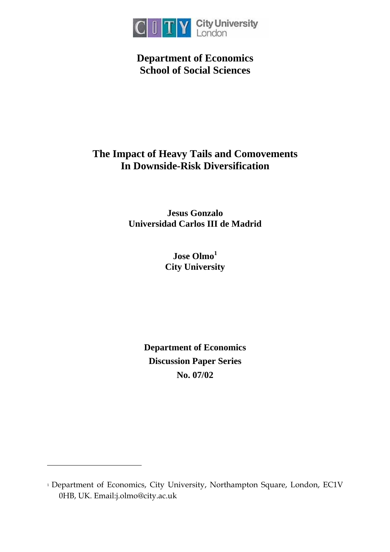

**Department of Economics School of Social Sciences** 

## **The Impact of Heavy Tails and Comovements In Downside-Risk Diversification**

**Jesus Gonzalo Universidad Carlos III de Madrid** 

> **Jose Olmo[1](#page-1-0) City University**

**Department of Economics Discussion Paper Series No. 07/02**

 $\overline{a}$ 

<span id="page-1-0"></span><sup>&</sup>lt;sup>1</sup> Department of Economics, City University, Northampton Square, London, EC1V 0HB, UK. Email:j.olmo@city.ac.uk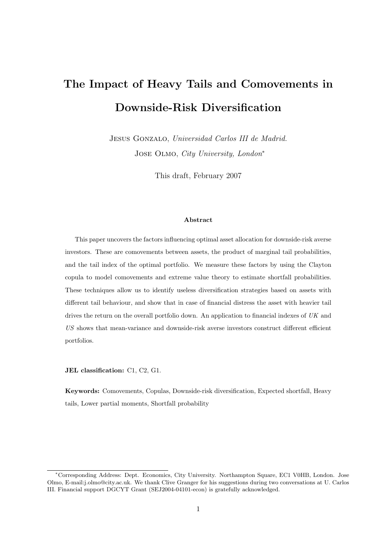## The Impact of Heavy Tails and Comovements in Downside-Risk Diversification

JESUS GONZALO, Universidad Carlos III de Madrid. Jose Olmo, City University, London<sup>∗</sup>

This draft, February 2007

#### Abstract

This paper uncovers the factors influencing optimal asset allocation for downside-risk averse investors. These are comovements between assets, the product of marginal tail probabilities, and the tail index of the optimal portfolio. We measure these factors by using the Clayton copula to model comovements and extreme value theory to estimate shortfall probabilities. These techniques allow us to identify useless diversification strategies based on assets with different tail behaviour, and show that in case of financial distress the asset with heavier tail drives the return on the overall portfolio down. An application to financial indexes of UK and US shows that mean-variance and downside-risk averse investors construct different efficient portfolios.

JEL classification: C1, C2, G1.

Keywords: Comovements, Copulas, Downside-risk diversification, Expected shortfall, Heavy tails, Lower partial moments, Shortfall probability

<sup>∗</sup>Corresponding Address: Dept. Economics, City University. Northampton Square, EC1 V0HB, London. Jose Olmo, E-mail:j.olmo@city.ac.uk. We thank Clive Granger for his suggestions during two conversations at U. Carlos III. Financial support DGCYT Grant (SEJ2004-04101-econ) is gratefully acknowledged.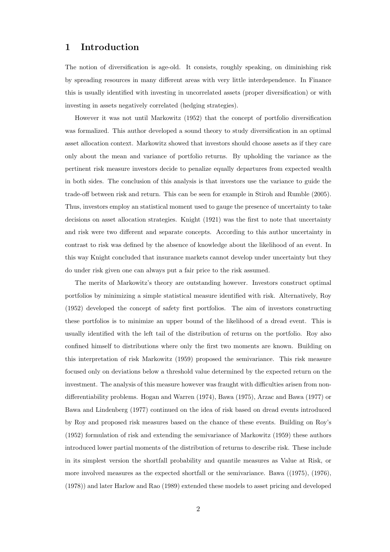#### 1 Introduction

The notion of diversification is age-old. It consists, roughly speaking, on diminishing risk by spreading resources in many different areas with very little interdependence. In Finance this is usually identified with investing in uncorrelated assets (proper diversification) or with investing in assets negatively correlated (hedging strategies).

However it was not until Markowitz (1952) that the concept of portfolio diversification was formalized. This author developed a sound theory to study diversification in an optimal asset allocation context. Markowitz showed that investors should choose assets as if they care only about the mean and variance of portfolio returns. By upholding the variance as the pertinent risk measure investors decide to penalize equally departures from expected wealth in both sides. The conclusion of this analysis is that investors use the variance to guide the trade-off between risk and return. This can be seen for example in Stiroh and Rumble (2005). Thus, investors employ an statistical moment used to gauge the presence of uncertainty to take decisions on asset allocation strategies. Knight (1921) was the first to note that uncertainty and risk were two different and separate concepts. According to this author uncertainty in contrast to risk was defined by the absence of knowledge about the likelihood of an event. In this way Knight concluded that insurance markets cannot develop under uncertainty but they do under risk given one can always put a fair price to the risk assumed.

The merits of Markowitz's theory are outstanding however. Investors construct optimal portfolios by minimizing a simple statistical measure identified with risk. Alternatively, Roy (1952) developed the concept of safety first portfolios. The aim of investors constructing these portfolios is to minimize an upper bound of the likelihood of a dread event. This is usually identified with the left tail of the distribution of returns on the portfolio. Roy also confined himself to distributions where only the first two moments are known. Building on this interpretation of risk Markowitz (1959) proposed the semivariance. This risk measure focused only on deviations below a threshold value determined by the expected return on the investment. The analysis of this measure however was fraught with difficulties arisen from nondifferentiability problems. Hogan and Warren (1974), Bawa (1975), Arzac and Bawa (1977) or Bawa and Lindenberg (1977) continued on the idea of risk based on dread events introduced by Roy and proposed risk measures based on the chance of these events. Building on Roy's (1952) formulation of risk and extending the semivariance of Markowitz (1959) these authors introduced lower partial moments of the distribution of returns to describe risk. These include in its simplest version the shortfall probability and quantile measures as Value at Risk, or more involved measures as the expected shortfall or the semivariance. Bawa ((1975), (1976), (1978)) and later Harlow and Rao (1989) extended these models to asset pricing and developed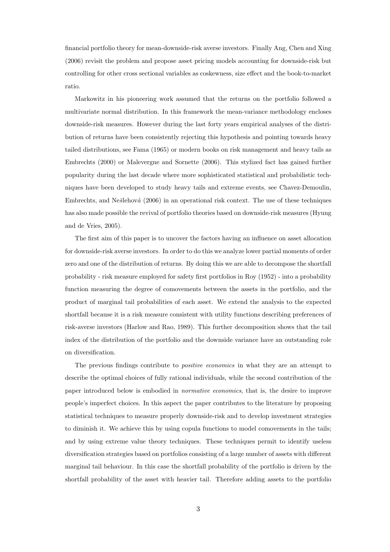financial portfolio theory for mean-downside-risk averse investors. Finally Ang, Chen and Xing (2006) revisit the problem and propose asset pricing models accounting for downside-risk but controlling for other cross sectional variables as coskewness, size effect and the book-to-market ratio.

Markowitz in his pioneering work assumed that the returns on the portfolio followed a multivariate normal distribution. In this framework the mean-variance methodology encloses downside-risk measures. However during the last forty years empirical analyses of the distribution of returns have been consistently rejecting this hypothesis and pointing towards heavy tailed distributions, see Fama (1965) or modern books on risk management and heavy tails as Embrechts (2000) or Malevergne and Sornette (2006). This stylized fact has gained further popularity during the last decade where more sophisticated statistical and probabilistic techniques have been developed to study heavy tails and extreme events, see Chavez-Demoulin, Embrechts, and Ne $\check{\rm s}$ lehová (2006) in an operational risk context. The use of these techniques has also made possible the revival of portfolio theories based on downside-risk measures (Hyung and de Vries, 2005).

The first aim of this paper is to uncover the factors having an influence on asset allocation for downside-risk averse investors. In order to do this we analyze lower partial moments of order zero and one of the distribution of returns. By doing this we are able to decompose the shortfall probability - risk measure employed for safety first portfolios in Roy (1952) - into a probability function measuring the degree of comovements between the assets in the portfolio, and the product of marginal tail probabilities of each asset. We extend the analysis to the expected shortfall because it is a risk measure consistent with utility functions describing preferences of risk-averse investors (Harlow and Rao, 1989). This further decomposition shows that the tail index of the distribution of the portfolio and the downside variance have an outstanding role on diversification.

The previous findings contribute to *positive economics* in what they are an attempt to describe the optimal choices of fully rational individuals, while the second contribution of the paper introduced below is embodied in normative economics, that is, the desire to improve people's imperfect choices. In this aspect the paper contributes to the literature by proposing statistical techniques to measure properly downside-risk and to develop investment strategies to diminish it. We achieve this by using copula functions to model comovements in the tails; and by using extreme value theory techniques. These techniques permit to identify useless diversification strategies based on portfolios consisting of a large number of assets with different marginal tail behaviour. In this case the shortfall probability of the portfolio is driven by the shortfall probability of the asset with heavier tail. Therefore adding assets to the portfolio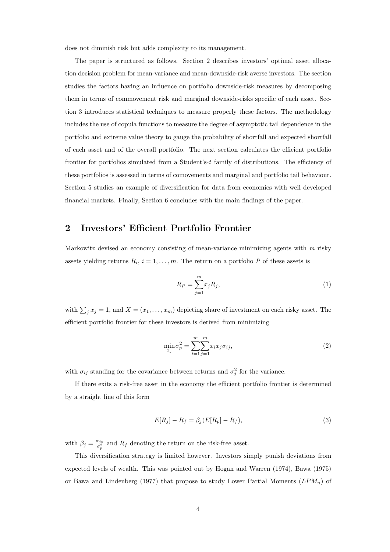does not diminish risk but adds complexity to its management.

The paper is structured as follows. Section 2 describes investors' optimal asset allocation decision problem for mean-variance and mean-downside-risk averse investors. The section studies the factors having an influence on portfolio downside-risk measures by decomposing them in terms of commovement risk and marginal downside-risks specific of each asset. Section 3 introduces statistical techniques to measure properly these factors. The methodology includes the use of copula functions to measure the degree of asymptotic tail dependence in the portfolio and extreme value theory to gauge the probability of shortfall and expected shortfall of each asset and of the overall portfolio. The next section calculates the efficient portfolio frontier for portfolios simulated from a Student's- $t$  family of distributions. The efficiency of these portfolios is assessed in terms of comovements and marginal and portfolio tail behaviour. Section 5 studies an example of diversification for data from economies with well developed financial markets. Finally, Section 6 concludes with the main findings of the paper.

## 2 Investors' Efficient Portfolio Frontier

Markowitz devised an economy consisting of mean-variance minimizing agents with  $m$  risky assets yielding returns  $R_i$ ,  $i = 1, ..., m$ . The return on a portfolio P of these assets is

$$
R_P = \sum_{j=1}^{m} x_j R_j,\tag{1}
$$

with  $\sum_j x_j = 1$ , and  $X = (x_1, \ldots, x_m)$  depicting share of investment on each risky asset. The efficient portfolio frontier for these investors is derived from minimizing

$$
\min_{x_j} \sigma_p^2 = \sum_{i=1}^m \sum_{j=1}^m x_i x_j \sigma_{ij},\tag{2}
$$

with  $\sigma_{ij}$  standing for the covariance between returns and  $\sigma_j^2$  for the variance.

If there exits a risk-free asset in the economy the efficient portfolio frontier is determined by a straight line of this form

$$
E[R_j] - R_f = \beta_j (E[R_p] - R_f),\tag{3}
$$

with  $\beta_j = \frac{\sigma_{jp}}{\sigma_p^2}$  and  $R_f$  denoting the return on the risk-free asset.

This diversification strategy is limited however. Investors simply punish deviations from expected levels of wealth. This was pointed out by Hogan and Warren (1974), Bawa (1975) or Bawa and Lindenberg (1977) that propose to study Lower Partial Moments  $(LPM_n)$  of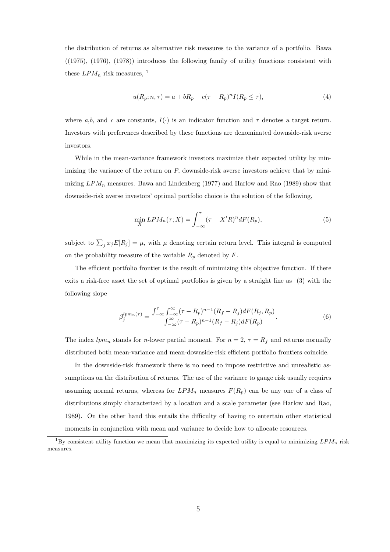the distribution of returns as alternative risk measures to the variance of a portfolio. Bawa ((1975), (1976), (1978)) introduces the following family of utility functions consistent with these  $LPM_n$  risk measures, <sup>1</sup>

$$
u(R_p; n, \tau) = a + bR_p - c(\tau - R_p)^n I(R_p \le \tau),\tag{4}
$$

where a,b, and c are constants,  $I(\cdot)$  is an indicator function and  $\tau$  denotes a target return. Investors with preferences described by these functions are denominated downside-risk averse investors.

While in the mean-variance framework investors maximize their expected utility by minimizing the variance of the return on  $P$ , downside-risk averse investors achieve that by minimizing  $LPM_n$  measures. Bawa and Lindenberg (1977) and Harlow and Rao (1989) show that downside-risk averse investors' optimal portfolio choice is the solution of the following,

$$
\min_{X} LPM_n(\tau; X) = \int_{-\infty}^{\tau} (\tau - X'R)^n dF(R_p), \tag{5}
$$

subject to  $\sum_j x_j E[R_j] = \mu$ , with  $\mu$  denoting certain return level. This integral is computed on the probability measure of the variable  $R_p$  denoted by  $F$ .

The efficient portfolio frontier is the result of minimizing this objective function. If there exits a risk-free asset the set of optimal portfolios is given by a straight line as (3) with the following slope

$$
\beta_j^{lpm_n(\tau)} = \frac{\int_{-\infty}^{\tau} \int_{-\infty}^{\infty} (\tau - R_p)^{n-1} (R_f - R_j) dF(R_j, R_p)}{\int_{-\infty}^{\infty} (\tau - R_p)^{n-1} (R_f - R_j) dF(R_p)}.
$$
(6)

The index  $lpm_n$  stands for *n*-lower partial moment. For  $n = 2$ ,  $\tau = R_f$  and returns normally distributed both mean-variance and mean-downside-risk efficient portfolio frontiers coincide.

In the downside-risk framework there is no need to impose restrictive and unrealistic assumptions on the distribution of returns. The use of the variance to gauge risk usually requires assuming normal returns, whereas for  $LPM_n$  measures  $F(R_p)$  can be any one of a class of distributions simply characterized by a location and a scale parameter (see Harlow and Rao, 1989). On the other hand this entails the difficulty of having to entertain other statistical moments in conjunction with mean and variance to decide how to allocate resources.

<sup>&</sup>lt;sup>1</sup>By consistent utility function we mean that maximizing its expected utility is equal to minimizing  $LPM_n$  risk measures.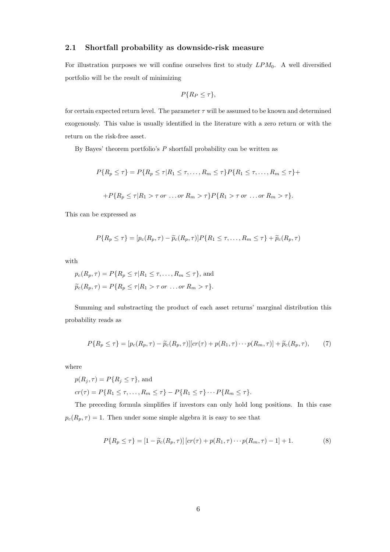#### 2.1 Shortfall probability as downside-risk measure

For illustration purposes we will confine ourselves first to study  $LPM_0$ . A well diversified portfolio will be the result of minimizing

$$
P\{R_P \leq \tau\},\
$$

for certain expected return level. The parameter  $\tau$  will be assumed to be known and determined exogenously. This value is usually identified in the literature with a zero return or with the return on the risk-free asset.

By Bayes' theorem portfolio's  $P$  shortfall probability can be written as

$$
P\{R_p \leq \tau\} = P\{R_p \leq \tau | R_1 \leq \tau, \dots, R_m \leq \tau\} P\{R_1 \leq \tau, \dots, R_m \leq \tau\} +
$$

$$
+ P\{R_p \leq \tau | R_1 > \tau \text{ or } \dots \text{ or } R_m > \tau\} P\{R_1 > \tau \text{ or } \dots \text{ or } R_m > \tau\}.
$$

This can be expressed as

$$
P\{R_p \leq \tau\} = [p_c(R_p, \tau) - \widetilde{p}_c(R_p, \tau)]P\{R_1 \leq \tau, \ldots, R_m \leq \tau\} + \widetilde{p}_c(R_p, \tau)
$$

with

$$
p_c(R_p, \tau) = P\{R_p \le \tau | R_1 \le \tau, \dots, R_m \le \tau\}, \text{ and}
$$
  

$$
\widetilde{p}_c(R_p, \tau) = P\{R_p \le \tau | R_1 > \tau \text{ or } \dots \text{ or } R_m > \tau\}.
$$

Summing and substracting the product of each asset returns' marginal distribution this probability reads as

$$
P\{R_p \leq \tau\} = [p_c(R_p, \tau) - \widetilde{p}_c(R_p, \tau)][cr(\tau) + p(R_1, \tau) \cdots p(R_m, \tau)] + \widetilde{p}_c(R_p, \tau),\tag{7}
$$

where

$$
p(R_j, \tau) = P\{R_j \le \tau\}, \text{ and}
$$
  

$$
cr(\tau) = P\{R_1 \le \tau, \dots, R_m \le \tau\} - P\{R_1 \le \tau\} \cdots P\{R_m \le \tau\}.
$$

The preceding formula simplifies if investors can only hold long positions. In this case  $p_c(R_p, \tau) = 1$ . Then under some simple algebra it is easy to see that

$$
P\{R_p \le \tau\} = [1 - \widetilde{p}_c(R_p, \tau)] [cr(\tau) + p(R_1, \tau) \cdots p(R_m, \tau) - 1] + 1.
$$
 (8)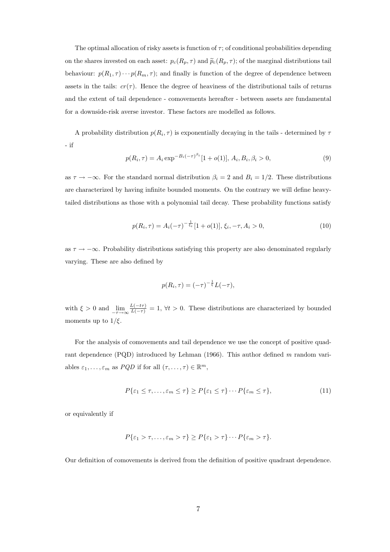The optimal allocation of risky assets is function of  $\tau$ ; of conditional probabilities depending on the shares invested on each asset:  $p_c(R_p, \tau)$  and  $\tilde{p}_c(R_p, \tau)$ ; of the marginal distributions tail behaviour:  $p(R_1, \tau) \cdots p(R_m, \tau)$ ; and finally is function of the degree of dependence between assets in the tails:  $cr(\tau)$ . Hence the degree of heaviness of the distributional tails of returns and the extent of tail dependence - comovements hereafter - between assets are fundamental for a downside-risk averse investor. These factors are modelled as follows.

A probability distribution  $p(R_i, \tau)$  is exponentially decaying in the tails - determined by  $\tau$ - if

$$
p(R_i, \tau) = A_i \exp^{-B_i(-\tau)^{\beta_i}} [1 + o(1)], A_i, B_i, \beta_i > 0,
$$
\n(9)

as  $\tau \to -\infty$ . For the standard normal distribution  $\beta_i = 2$  and  $B_i = 1/2$ . These distributions are characterized by having infinite bounded moments. On the contrary we will define heavytailed distributions as those with a polynomial tail decay. These probability functions satisfy

$$
p(R_i, \tau) = A_i(-\tau)^{-\frac{1}{\xi_i}}[1 + o(1)], \xi_i, -\tau, A_i > 0,
$$
\n(10)

as  $\tau \to -\infty$ . Probability distributions satisfying this property are also denominated regularly varying. These are also defined by

$$
p(R_i, \tau) = (-\tau)^{-\frac{1}{\xi}} L(-\tau),
$$

with  $\xi > 0$  and  $\lim_{-\tau \to \infty} \frac{L(-t\tau)}{L(-\tau)} = 1$ ,  $\forall t > 0$ . These distributions are characterized by bounded moments up to  $1/\xi$ .

For the analysis of comovements and tail dependence we use the concept of positive quadrant dependence (PQD) introduced by Lehman (1966). This author defined m random variables  $\varepsilon_1, \ldots, \varepsilon_m$  as  $PQD$  if for all  $(\tau, \ldots, \tau) \in \mathbb{R}^m$ ,

$$
P\{\varepsilon_1 \leq \tau, \ldots, \varepsilon_m \leq \tau\} \geq P\{\varepsilon_1 \leq \tau\} \cdots P\{\varepsilon_m \leq \tau\},\tag{11}
$$

or equivalently if

$$
P\{\varepsilon_1 > \tau, \ldots, \varepsilon_m > \tau\} \ge P\{\varepsilon_1 > \tau\} \cdots P\{\varepsilon_m > \tau\}.
$$

Our definition of comovements is derived from the definition of positive quadrant dependence.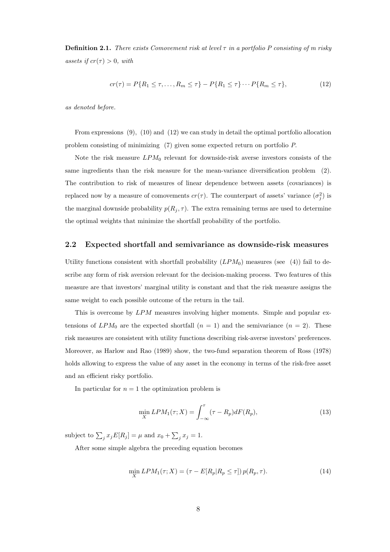**Definition 2.1.** There exists Comovement risk at level  $\tau$  in a portfolio P consisting of m risky assets if  $cr(\tau) > 0$ , with

$$
cr(\tau) = P\{R_1 \le \tau, \dots, R_m \le \tau\} - P\{R_1 \le \tau\} \cdots P\{R_m \le \tau\},\tag{12}
$$

as denoted before.

From expressions (9), (10) and (12) we can study in detail the optimal portfolio allocation problem consisting of minimizing (7) given some expected return on portfolio P.

Note the risk measure  $LPM_0$  relevant for downside-risk averse investors consists of the same ingredients than the risk measure for the mean-variance diversification problem (2). The contribution to risk of measures of linear dependence between assets (covariances) is replaced now by a measure of comovements  $cr(\tau)$ . The counterpart of assets' variance  $(\sigma_j^2)$  is the marginal downside probability  $p(R_j, \tau)$ . The extra remaining terms are used to determine the optimal weights that minimize the shortfall probability of the portfolio.

#### 2.2 Expected shortfall and semivariance as downside-risk measures

Utility functions consistent with shortfall probability  $(LPM_0)$  measures (see (4)) fail to describe any form of risk aversion relevant for the decision-making process. Two features of this measure are that investors' marginal utility is constant and that the risk measure assigns the same weight to each possible outcome of the return in the tail.

This is overcome by LPM measures involving higher moments. Simple and popular extensions of  $LPM_0$  are the expected shortfall  $(n = 1)$  and the semivariance  $(n = 2)$ . These risk measures are consistent with utility functions describing risk-averse investors' preferences. Moreover, as Harlow and Rao (1989) show, the two-fund separation theorem of Ross (1978) holds allowing to express the value of any asset in the economy in terms of the risk-free asset and an efficient risky portfolio.

In particular for  $n = 1$  the optimization problem is

$$
\min_{X} LPM_1(\tau; X) = \int_{-\infty}^{\tau} (\tau - R_p) dF(R_p), \tag{13}
$$

subject to  $\sum_j x_j E[R_j] = \mu$  and  $x_0 + \sum_j x_j E[R_j]$  $j x_j = 1.$ 

After some simple algebra the preceding equation becomes

$$
\min_{X} LPM_1(\tau; X) = (\tau - E[R_p | R_p \le \tau]) p(R_p, \tau). \tag{14}
$$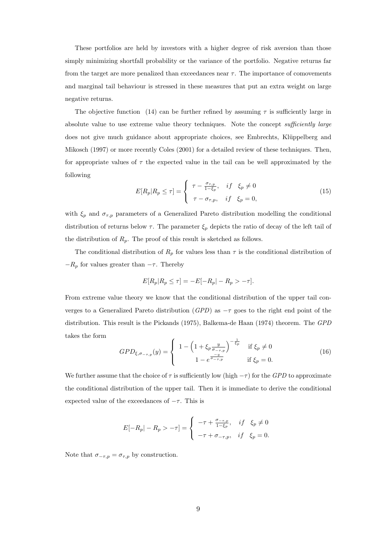These portfolios are held by investors with a higher degree of risk aversion than those simply minimizing shortfall probability or the variance of the portfolio. Negative returns far from the target are more penalized than exceedances near  $\tau$ . The importance of comovements and marginal tail behaviour is stressed in these measures that put an extra weight on large negative returns.

The objective function (14) can be further refined by assuming  $\tau$  is sufficiently large in absolute value to use extreme value theory techniques. Note the concept sufficiently large does not give much guidance about appropriate choices, see Embrechts, Klüppelberg and Mikosch (1997) or more recently Coles (2001) for a detailed review of these techniques. Then, for appropriate values of  $\tau$  the expected value in the tail can be well approximated by the following  $\overline{\phantom{a}}$ 

$$
E[R_p|R_p \le \tau] = \begin{cases} \tau - \frac{\sigma_{\tau,p}}{1 - \xi_p}, & \text{if } \xi_p \neq 0 \\ \tau - \sigma_{\tau,p}, & \text{if } \xi_p = 0, \end{cases}
$$
 (15)

with  $\xi_p$  and  $\sigma_{\tau,p}$  parameters of a Generalized Pareto distribution modelling the conditional distribution of returns below  $\tau$ . The parameter  $\xi_p$  depicts the ratio of decay of the left tail of the distribution of  $R_p$ . The proof of this result is sketched as follows.

The conditional distribution of  $R_p$  for values less than  $\tau$  is the conditional distribution of  $-R_p$  for values greater than  $-\tau$ . Thereby

$$
E[R_p|R_p \le \tau] = -E[-R_p| - R_p > -\tau].
$$

From extreme value theory we know that the conditional distribution of the upper tail converges to a Generalized Pareto distribution ( $GPD$ ) as  $-\tau$  goes to the right end point of the distribution. This result is the Pickands (1975), Balkema-de Haan (1974) theorem. The GPD takes the form  $\overline{a}$  $\overline{a}$ 

$$
GPD_{\xi,\sigma_{-\tau,p}}(y) = \begin{cases} 1 - \left(1 + \xi_p \frac{y}{\sigma_{-\tau,p}}\right)^{-\frac{1}{\xi_p}} & \text{if } \xi_p \neq 0\\ 1 - e^{\frac{-y}{\sigma_{-\tau,p}}} & \text{if } \xi_p = 0. \end{cases}
$$
(16)

We further assume that the choice of  $\tau$  is sufficiently low (high  $-\tau$ ) for the GPD to approximate the conditional distribution of the upper tail. Then it is immediate to derive the conditional expected value of the exceedances of  $-\tau$ . This is

$$
E[-R_p|-R_p>-\tau] = \begin{cases} -\tau + \frac{\sigma_{-\tau,p}}{1-\xi_p}, & \text{if } \xi_p \neq 0 \\ -\tau + \sigma_{-\tau,p}, & \text{if } \xi_p = 0. \end{cases}
$$

Note that  $\sigma_{-\tau,p} = \sigma_{\tau,p}$  by construction.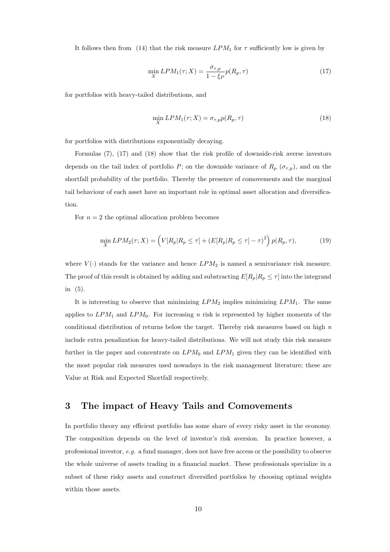It follows then from (14) that the risk measure  $LPM_1$  for  $\tau$  sufficiently low is given by

$$
\min_{X} LPM_1(\tau; X) = \frac{\sigma_{\tau, p}}{1 - \xi_P} p(R_p, \tau)
$$
\n(17)

for portfolios with heavy-tailed distributions, and

$$
\min_{X} LPM_1(\tau; X) = \sigma_{\tau, p} p(R_p, \tau) \tag{18}
$$

for portfolios with distributions exponentially decaying.

Formulas (7), (17) and (18) show that the risk profile of downside-risk averse investors depends on the tail index of portfolio P; on the downside variance of  $R_p$  ( $\sigma_{\tau,p}$ ), and on the shortfall probability of the portfolio. Thereby the presence of comovements and the marginal tail behaviour of each asset have an important role in optimal asset allocation and diversification.

For  $n = 2$  the optimal allocation problem becomes

$$
\min_{X} LPM_2(\tau; X) = \left( V[R_p | R_p \le \tau] + \left( E[R_p | R_p \le \tau] - \tau \right)^2 \right) p(R_p, \tau),\tag{19}
$$

where  $V(\cdot)$  stands for the variance and hence  $LPM_2$  is named a semivariance risk measure. The proof of this result is obtained by adding and substracting  $E[R_p|R_p \leq \tau]$  into the integrand in (5).

It is interesting to observe that minimizing  $LPM_2$  implies minimizing  $LPM_1$ . The same applies to  $LPM_1$  and  $LPM_0$ . For increasing n risk is represented by higher moments of the conditional distribution of returns below the target. Thereby risk measures based on high  $n$ include extra penalization for heavy-tailed distributions. We will not study this risk measure further in the paper and concentrate on  $LPM_0$  and  $LPM_1$  given they can be identified with the most popular risk measures used nowadays in the risk management literature; these are Value at Risk and Expected Shortfall respectively.

## 3 The impact of Heavy Tails and Comovements

In portfolio theory any efficient portfolio has some share of every risky asset in the economy. The composition depends on the level of investor's risk aversion. In practice however, a professional investor, e.g. a fund manager, does not have free access or the possibility to observe the whole universe of assets trading in a financial market. These professionals specialize in a subset of these risky assets and construct diversified portfolios by choosing optimal weights within those assets.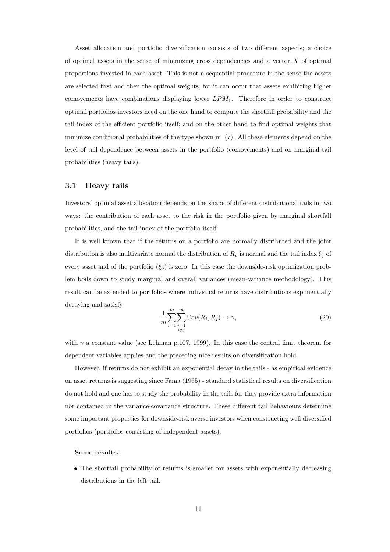Asset allocation and portfolio diversification consists of two different aspects; a choice of optimal assets in the sense of minimizing cross dependencies and a vector  $X$  of optimal proportions invested in each asset. This is not a sequential procedure in the sense the assets are selected first and then the optimal weights, for it can occur that assets exhibiting higher comovements have combinations displaying lower  $LPM_1$ . Therefore in order to construct optimal portfolios investors need on the one hand to compute the shortfall probability and the tail index of the efficient portfolio itself; and on the other hand to find optimal weights that minimize conditional probabilities of the type shown in (7). All these elements depend on the level of tail dependence between assets in the portfolio (comovements) and on marginal tail probabilities (heavy tails).

#### 3.1 Heavy tails

Investors' optimal asset allocation depends on the shape of different distributional tails in two ways: the contribution of each asset to the risk in the portfolio given by marginal shortfall probabilities, and the tail index of the portfolio itself.

It is well known that if the returns on a portfolio are normally distributed and the joint distribution is also multivariate normal the distribution of  $R_p$  is normal and the tail index  $\xi_j$  of every asset and of the portfolio  $(\xi_p)$  is zero. In this case the downside-risk optimization problem boils down to study marginal and overall variances (mean-variance methodology). This result can be extended to portfolios where individual returns have distributions exponentially decaying and satisfy

$$
\frac{1}{m} \sum_{i=1}^{m} \sum_{\substack{j=1 \ i \neq j}}^{m} Cov(R_i, R_j) \to \gamma,
$$
\n(20)

with  $\gamma$  a constant value (see Lehman p.107, 1999). In this case the central limit theorem for dependent variables applies and the preceding nice results on diversification hold.

However, if returns do not exhibit an exponential decay in the tails - as empirical evidence on asset returns is suggesting since Fama (1965) - standard statistical results on diversification do not hold and one has to study the probability in the tails for they provide extra information not contained in the variance-covariance structure. These different tail behaviours determine some important properties for downside-risk averse investors when constructing well diversified portfolios (portfolios consisting of independent assets).

#### Some results.-

• The shortfall probability of returns is smaller for assets with exponentially decreasing distributions in the left tail.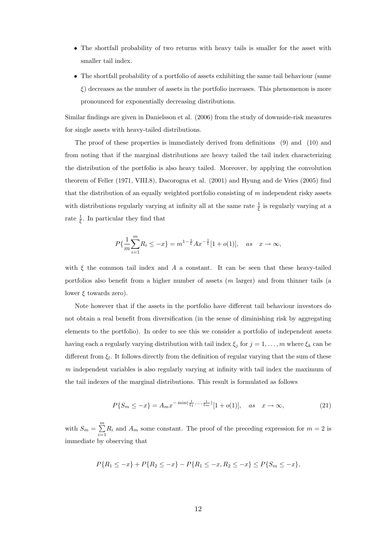- The shortfall probability of two returns with heavy tails is smaller for the asset with smaller tail index.
- The shortfall probability of a portfolio of assets exhibiting the same tail behaviour (same  $\xi$ ) decreases as the number of assets in the portfolio increases. This phenomenon is more pronounced for exponentially decreasing distributions.

Similar findings are given in Danielsson et al. (2006) from the study of downside-risk measures for single assets with heavy-tailed distributions.

The proof of these properties is immediately derived from definitions (9) and (10) and from noting that if the marginal distributions are heavy tailed the tail index characterizing the distribution of the portfolio is also heavy tailed. Moreover, by applying the convolution theorem of Feller (1971, VIII.8), Dacorogna et al. (2001) and Hyung and de Vries (2005) find that the distribution of an equally weighted portfolio consisting of m independent risky assets with distributions regularly varying at infinity all at the same rate  $\frac{1}{\xi}$  is regularly varying at a rate  $\frac{1}{\xi}$ . In particular they find that

$$
P\{\frac{1}{m}\sum_{i=1}^{m}R_i \le -x\} = m^{1-\frac{1}{\xi}}Ax^{-\frac{1}{\xi}}[1+o(1)], \quad as \quad x \to \infty,
$$

with  $\xi$  the common tail index and A a constant. It can be seen that these heavy-tailed portfolios also benefit from a higher number of assets (m larger) and from thinner tails (a lower  $\xi$  towards zero).

Note however that if the assets in the portfolio have different tail behaviour investors do not obtain a real benefit from diversification (in the sense of diminishing risk by aggregating elements to the portfolio). In order to see this we consider a portfolio of independent assets having each a regularly varying distribution with tail index  $\xi_j$  for  $j = 1, ..., m$  where  $\xi_k$  can be different from  $\xi_l$ . It follows directly from the definition of regular varying that the sum of these m independent variables is also regularly varying at infinity with tail index the maximum of the tail indexes of the marginal distributions. This result is formulated as follows

$$
P\{S_m \le -x\} = A_m x^{-\min(\frac{1}{\xi_1}, \dots, \frac{1}{\xi_m})} [1 + o(1)], \quad as \quad x \to \infty,
$$
 (21)

with  $S_m = \sum^m$  $\sum_{i=1} R_i$  and  $A_m$  some constant. The proof of the preceding expression for  $m = 2$  is immediate by observing that

$$
P\{R_1 \le -x\} + P\{R_2 \le -x\} - P\{R_1 \le -x, R_2 \le -x\} \le P\{S_m \le -x\},\
$$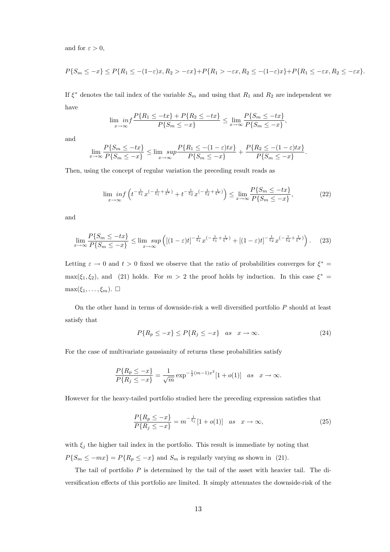and for  $\varepsilon > 0$ .

$$
P\{S_m \le -x\} \le P\{R_1 \le -(1-\varepsilon)x, R_2 > -\varepsilon x\} + P\{R_1 > -\varepsilon x, R_2 \le -(1-\varepsilon)x\} + P\{R_1 \le -\varepsilon x, R_2 \le -\varepsilon x\}.
$$

If  $\xi^*$  denotes the tail index of the variable  $S_m$  and using that  $R_1$  and  $R_2$  are independent we have

$$
\lim_{x \to \infty} \inf \frac{P\{R_1 \le -tx\} + P\{R_2 \le -tx\}}{P\{S_m \le -x\}} \le \lim_{x \to \infty} \frac{P\{S_m \le -tx\}}{P\{S_m \le -x\}},
$$

and

$$
\lim_{x \to \infty} \frac{P\{S_m \le -tx\}}{P\{S_m \le -x\}} \le \lim_{x \to \infty} \frac{P\{R_1 \le -(1-\varepsilon)tx\}}{P\{S_m \le -x\}} + \frac{P\{R_2 \le -(1-\varepsilon)tx\}}{P\{S_m \le -x\}}.
$$

Then, using the concept of regular variation the preceding result reads as

$$
\lim_{x \to \infty} \inf \left( t^{-\frac{1}{\xi_1}} x^{\left(-\frac{1}{\xi_1} + \frac{1}{\xi^*}\right)} + t^{-\frac{1}{\xi_2}} x^{\left(-\frac{1}{\xi_2} + \frac{1}{\xi^*}\right)} \right) \le \lim_{x \to \infty} \frac{P\{S_m \le -tx\}}{P\{S_m \le -x\}},\tag{22}
$$

and

$$
\lim_{x \to \infty} \frac{P\{S_m \le -tx\}}{P\{S_m \le -x\}} \le \lim_{x \to \infty} \sup \left( \left[ (1-\varepsilon)t \right]^{-\frac{1}{\xi_1}} x^{\left(-\frac{1}{\xi_1} + \frac{1}{\xi^*}\right)} + \left[ (1-\varepsilon)t \right]^{-\frac{1}{\xi_2}} x^{\left(-\frac{1}{\xi_2} + \frac{1}{\xi^*}\right)} \right). \tag{23}
$$

Letting  $\varepsilon \to 0$  and  $t > 0$  fixed we observe that the ratio of probabilities converges for  $\xi^* =$  $\max(\xi_1, \xi_2)$ , and (21) holds. For  $m > 2$  the proof holds by induction. In this case  $\xi^* =$  $\max(\xi_1,\ldots,\xi_m). \ \Box$ 

On the other hand in terms of downside-risk a well diversified portfolio P should at least satisfy that

$$
P\{R_p \le -x\} \le P\{R_j \le -x\} \quad as \quad x \to \infty. \tag{24}
$$

For the case of multivariate gaussianity of returns these probabilities satisfy

$$
\frac{P\{R_p \le -x\}}{P\{R_j \le -x\}} = \frac{1}{\sqrt{m}} \exp^{-\frac{1}{2}(m-1)x^2} [1 + o(1)] \quad as \quad x \to \infty.
$$

However for the heavy-tailed portfolio studied here the preceding expression satisfies that

$$
\frac{P\{R_p \le -x\}}{P\{R_j \le -x\}} = m^{-\frac{1}{\xi_j}} [1 + o(1)] \quad as \quad x \to \infty,
$$
\n(25)

with  $\xi_j$  the higher tail index in the portfolio. This result is immediate by noting that  $P{S_m \le -mx} = P{R_p \le -x}$  and  $S_m$  is regularly varying as shown in (21).

The tail of portfolio  $P$  is determined by the tail of the asset with heavier tail. The diversification effects of this portfolio are limited. It simply attenuates the downside-risk of the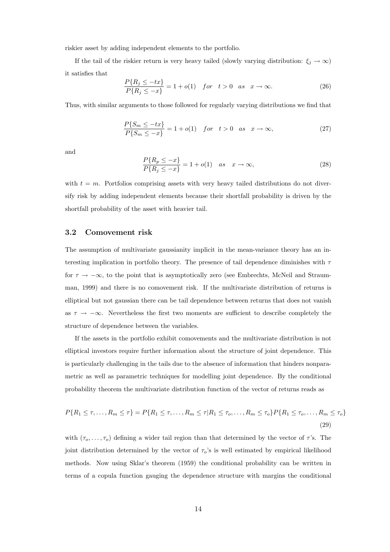riskier asset by adding independent elements to the portfolio.

If the tail of the riskier return is very heavy tailed (slowly varying distribution:  $\xi_j \to \infty$ ) it satisfies that

$$
\frac{P\{R_j \le -tx\}}{P\{R_j \le -x\}} = 1 + o(1) \quad \text{for} \quad t > 0 \quad \text{as} \quad x \to \infty. \tag{26}
$$

Thus, with similar arguments to those followed for regularly varying distributions we find that

$$
\frac{P\{S_m \le -tx\}}{P\{S_m \le -x\}} = 1 + o(1) \quad \text{for} \quad t > 0 \quad \text{as} \quad x \to \infty,\tag{27}
$$

and

$$
\frac{P\{R_p \le -x\}}{P\{R_j \le -x\}} = 1 + o(1) \quad \text{as} \quad x \to \infty,
$$
\n(28)

with  $t = m$ . Portfolios comprising assets with very heavy tailed distributions do not diversify risk by adding independent elements because their shortfall probability is driven by the shortfall probability of the asset with heavier tail.

#### 3.2 Comovement risk

The assumption of multivariate gaussianity implicit in the mean-variance theory has an interesting implication in portfolio theory. The presence of tail dependence diminishes with  $\tau$ for  $\tau \to -\infty$ , to the point that is asymptotically zero (see Embrechts, McNeil and Straumman, 1999) and there is no comovement risk. If the multivariate distribution of returns is elliptical but not gaussian there can be tail dependence between returns that does not vanish as  $\tau \to -\infty$ . Nevertheless the first two moments are sufficient to describe completely the structure of dependence between the variables.

If the assets in the portfolio exhibit comovements and the multivariate distribution is not elliptical investors require further information about the structure of joint dependence. This is particularly challenging in the tails due to the absence of information that hinders nonparametric as well as parametric techniques for modelling joint dependence. By the conditional probability theorem the multivariate distribution function of the vector of returns reads as

$$
P\{R_1 \le \tau, \dots, R_m \le \tau\} = P\{R_1 \le \tau, \dots, R_m \le \tau | R_1 \le \tau_o, \dots, R_m \le \tau_o\} P\{R_1 \le \tau_o, \dots, R_m \le \tau_o\}
$$
\n(29)

with  $(\tau_0, \ldots, \tau_o)$  defining a wider tail region than that determined by the vector of  $\tau$ 's. The joint distribution determined by the vector of  $\tau_o$ 's is well estimated by empirical likelihood methods. Now using Sklar's theorem (1959) the conditional probability can be written in terms of a copula function gauging the dependence structure with margins the conditional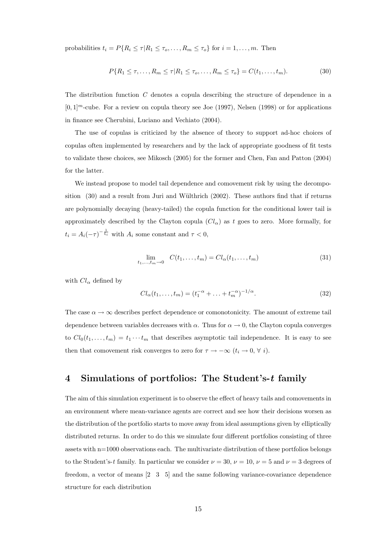probabilities  $t_i = P\{R_i \leq \tau | R_1 \leq \tau_o, \ldots, R_m \leq \tau_o\}$  for  $i = 1, \ldots, m$ . Then

$$
P\{R_1 \le \tau, \dots, R_m \le \tau | R_1 \le \tau_o, \dots, R_m \le \tau_o\} = C(t_1, \dots, t_m). \tag{30}
$$

The distribution function C denotes a copula describing the structure of dependence in a  $[0, 1]^m$ -cube. For a review on copula theory see Joe (1997), Nelsen (1998) or for applications in finance see Cherubini, Luciano and Vechiato (2004).

The use of copulas is criticized by the absence of theory to support ad-hoc choices of copulas often implemented by researchers and by the lack of appropriate goodness of fit tests to validate these choices, see Mikosch (2005) for the former and Chen, Fan and Patton (2004) for the latter.

We instead propose to model tail dependence and comovement risk by using the decomposition  $(30)$  and a result from Juri and Wülthrich  $(2002)$ . These authors find that if returns are polynomially decaying (heavy-tailed) the copula function for the conditional lower tail is approximately described by the Clayton copula  $(Cl_{\alpha})$  as t goes to zero. More formally, for  $t_i = A_i(-\tau)^{-\frac{1}{\xi_i}}$  with  $A_i$  some constant and  $\tau < 0$ ,

$$
\lim_{t_1, ..., t_m \to 0} \quad C(t_1, ..., t_m) = Cl_{\alpha}(t_1, ..., t_m)
$$
\n(31)

with  $Cl_{\alpha}$  defined by

$$
Cl_{\alpha}(t_1, ..., t_m) = (t_1^{-\alpha} + ... + t_m^{-\alpha})^{-1/\alpha}.
$$
 (32)

The case  $\alpha \to \infty$  describes perfect dependence or comonotonicity. The amount of extreme tail dependence between variables decreases with  $\alpha$ . Thus for  $\alpha \to 0$ , the Clayton copula converges to  $Cl_0(t_1,\ldots,t_m) = t_1 \cdots t_m$  that describes asymptotic tail independence. It is easy to see then that comovement risk converges to zero for  $\tau \to -\infty$   $(t_i \to 0, \forall i)$ .

### 4 Simulations of portfolios: The Student's-t family

The aim of this simulation experiment is to observe the effect of heavy tails and comovements in an environment where mean-variance agents are correct and see how their decisions worsen as the distribution of the portfolio starts to move away from ideal assumptions given by elliptically distributed returns. In order to do this we simulate four different portfolios consisting of three assets with n=1000 observations each. The multivariate distribution of these portfolios belongs to the Student's-t family. In particular we consider  $\nu = 30$ ,  $\nu = 10$ ,  $\nu = 5$  and  $\nu = 3$  degrees of freedom, a vector of means [2 3 5] and the same following variance-covariance dependence structure for each distribution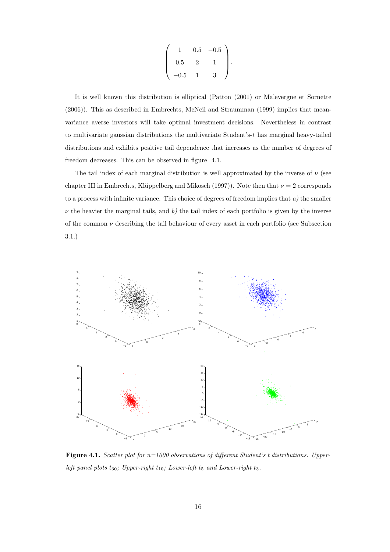$$
\left(\begin{array}{rrr} 1 & 0.5 & -0.5 \\ 0.5 & 2 & 1 \\ -0.5 & 1 & 3 \end{array}\right).
$$

It is well known this distribution is elliptical (Patton (2001) or Malevergne et Sornette (2006)). This as described in Embrechts, McNeil and Straumman (1999) implies that meanvariance averse investors will take optimal investment decisions. Nevertheless in contrast to multivariate gaussian distributions the multivariate Student's- $t$  has marginal heavy-tailed distributions and exhibits positive tail dependence that increases as the number of degrees of freedom decreases. This can be observed in figure 4.1.

The tail index of each marginal distribution is well approximated by the inverse of  $\nu$  (see chapter III in Embrechts, Klüppelberg and Mikosch (1997)). Note then that  $\nu = 2$  corresponds to a process with infinite variance. This choice of degrees of freedom implies that  $a$ ) the smaller  $\nu$  the heavier the marginal tails, and b) the tail index of each portfolio is given by the inverse of the common  $\nu$  describing the tail behaviour of every asset in each portfolio (see Subsection 3.1.)



Figure 4.1. Scatter plot for  $n=1000$  observations of different Student's t distributions. Upperleft panel plots  $t_{30}$ ; Upper-right  $t_{10}$ ; Lower-left  $t_5$  and Lower-right  $t_3$ .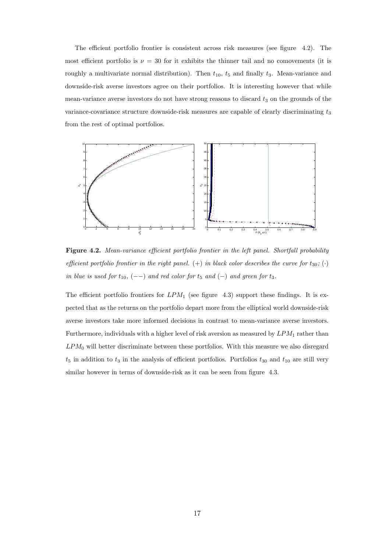The efficient portfolio frontier is consistent across risk measures (see figure 4.2). The most efficient portfolio is  $\nu = 30$  for it exhibits the thinner tail and no comovements (it is roughly a multivariate normal distribution). Then  $t_{10}$ ,  $t_5$  and finally  $t_3$ . Mean-variance and downside-risk averse investors agree on their portfolios. It is interesting however that while mean-variance averse investors do not have strong reasons to discard  $t_3$  on the grounds of the variance-covariance structure downside-risk measures are capable of clearly discriminating  $t_3$ from the rest of optimal portfolios.



Figure 4.2. Mean-variance efficient portfolio frontier in the left panel. Shortfall probability efficient portfolio frontier in the right panel. (+) in black color describes the curve for  $t_{30}$ ; ( $\cdot$ ) in blue is used for  $t_{10}$ ,  $(--)$  and red color for  $t_5$  and  $(-)$  and green for  $t_3$ .

The efficient portfolio frontiers for  $LPM_1$  (see figure 4.3) support these findings. It is expected that as the returns on the portfolio depart more from the elliptical world downside-risk averse investors take more informed decisions in contrast to mean-variance averse investors. Furthermore, individuals with a higher level of risk aversion as measured by  $LPM_1$  rather than  $LPM_0$  will better discriminate between these portfolios. With this measure we also disregard  $t_5$  in addition to  $t_3$  in the analysis of efficient portfolios. Portfolios  $t_{30}$  and  $t_{10}$  are still very similar however in terms of downside-risk as it can be seen from figure 4.3.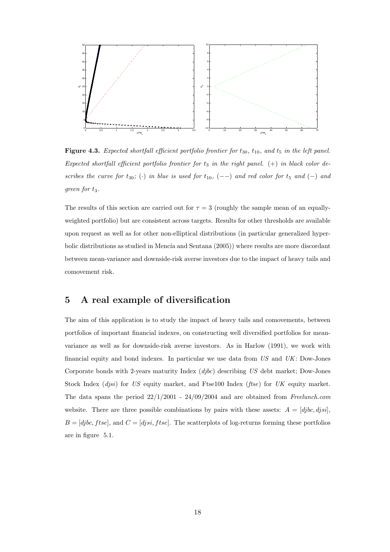

Figure 4.3. Expected shortfall efficient portfolio frontier for  $t_{30}$ ,  $t_{10}$ , and  $t_5$  in the left panel. Expected shortfall efficient portfolio frontier for  $t_3$  in the right panel. (+) in black color describes the curve for  $t_{30}$ ; (·) in blue is used for  $t_{10}$ , (--) and red color for  $t_5$  and (-) and  $green for t_3.$ 

The results of this section are carried out for  $\tau = 3$  (roughly the sample mean of an equallyweighted portfolio) but are consistent across targets. Results for other thresholds are available upon request as well as for other non-elliptical distributions (in particular generalized hyperbolic distributions as studied in Mencía and Sentana  $(2005)$ ) where results are more discordant between mean-variance and downside-risk averse investors due to the impact of heavy tails and comovement risk.

### 5 A real example of diversification

The aim of this application is to study the impact of heavy tails and comovements, between portfolios of important financial indexes, on constructing well diversified portfolios for meanvariance as well as for downside-risk averse investors. As in Harlow (1991), we work with financial equity and bond indexes. In particular we use data from  $US$  and  $UK:$  Dow-Jones Corporate bonds with 2-years maturity Index  $(d\dot{p}c)$  describing US debt market; Dow-Jones Stock Index (*djsi*) for US equity market, and Ftse100 Index (*ftse*) for UK equity market. The data spans the period  $22/1/2001 - 24/09/2004$  and are obtained from Freelunch.com website. There are three possible combinations by pairs with these assets:  $A = [djbc, djsi]$ ,  $B = [djbc, f tse],$  and  $C = [djsi, f tse].$  The scatterplots of log-returns forming these portfolios are in figure 5.1.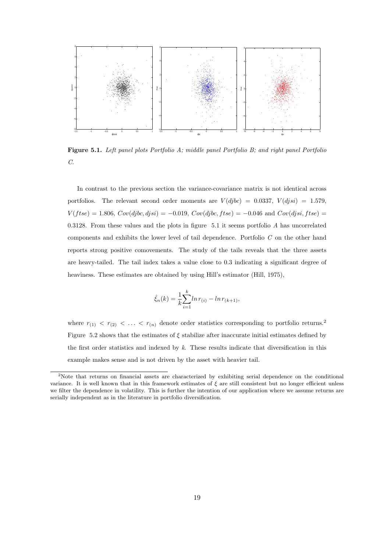

Figure 5.1. Left panel plots Portfolio A; middle panel Portfolio B; and right panel Portfolio C.

In contrast to the previous section the variance-covariance matrix is not identical across portfolios. The relevant second order moments are  $V(djbc) = 0.0337, V(djsi) = 1.579,$  $V(f tse) = 1.806, Cov(djbc, djsi) = -0.019, Cov(djbc, f tse) = -0.046$  and  $Cov(djsi, f tse) =$ 0.3128. From these values and the plots in figure  $5.1$  it seems portfolio  $A$  has uncorrelated components and exhibits the lower level of tail dependence. Portfolio C on the other hand reports strong positive comovements. The study of the tails reveals that the three assets are heavy-tailed. The tail index takes a value close to 0.3 indicating a significant degree of heaviness. These estimates are obtained by using Hill's estimator (Hill, 1975),

$$
\hat{\xi}_n(k) = \frac{1}{k} \sum_{i=1}^k \ln r_{(i)} - \ln r_{(k+1)},
$$

where  $r_{(1)} < r_{(2)} < \ldots < r_{(n)}$  denote order statistics corresponding to portfolio returns.<sup>2</sup> Figure 5.2 shows that the estimates of  $\xi$  stabilize after inaccurate initial estimates defined by the first order statistics and indexed by k. These results indicate that diversification in this example makes sense and is not driven by the asset with heavier tail.

<sup>&</sup>lt;sup>2</sup>Note that returns on financial assets are characterized by exhibiting serial dependence on the conditional variance. It is well known that in this framework estimates of  $\xi$  are still consistent but no longer efficient unless we filter the dependence in volatility. This is further the intention of our application where we assume returns are serially independent as in the literature in portfolio diversification.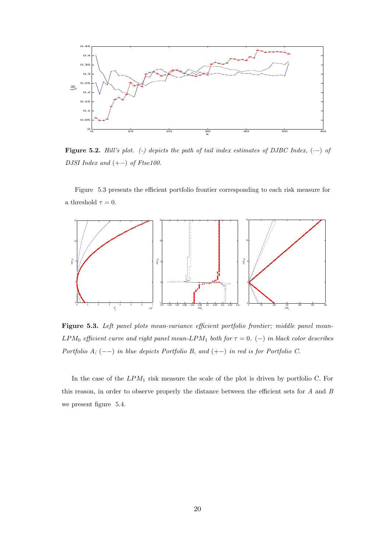

Figure 5.2. Hill's plot. (-) depicts the path of tail index estimates of DJBC Index,  $(-)$  of DJSI Index and  $(+-)$  of Ftse100.

Figure 5.3 presents the efficient portfolio frontier corresponding to each risk measure for a threshold  $\tau = 0$ .



Figure 5.3. Left panel plots mean-variance efficient portfolio frontier; middle panel mean- $\emph{LPM}_0 \emph{efficient curve and right panel mean-LPM}_1 \emph{ both for $\tau=0$}. \eqno{(-) in black color describes}$ Portfolio A;  $(--)$  in blue depicts Portfolio B, and  $(+-)$  in red is for Portfolio C.

In the case of the  $LPM_1$  risk measure the scale of the plot is driven by portfolio C. For this reason, in order to observe properly the distance between the efficient sets for  $A$  and  $B$ we present figure 5.4.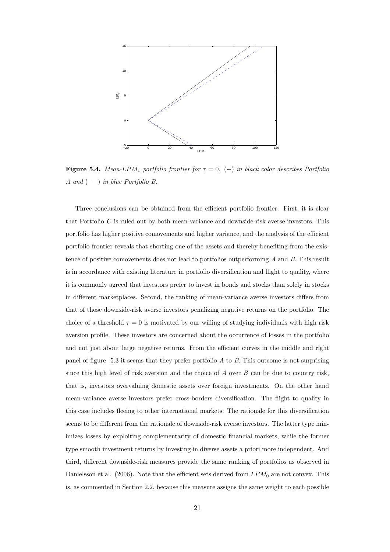

**Figure 5.4.** Mean-LPM<sub>1</sub> portfolio frontier for  $\tau = 0$ . (-) in black color describes Portfolio A and  $(--)$  in blue Portfolio B.

Three conclusions can be obtained from the efficient portfolio frontier. First, it is clear that Portfolio C is ruled out by both mean-variance and downside-risk averse investors. This portfolio has higher positive comovements and higher variance, and the analysis of the efficient portfolio frontier reveals that shorting one of the assets and thereby benefiting from the existence of positive comovements does not lead to portfolios outperforming A and B. This result is in accordance with existing literature in portfolio diversification and flight to quality, where it is commonly agreed that investors prefer to invest in bonds and stocks than solely in stocks in different marketplaces. Second, the ranking of mean-variance averse investors differs from that of those downside-risk averse investors penalizing negative returns on the portfolio. The choice of a threshold  $\tau = 0$  is motivated by our willing of studying individuals with high risk aversion profile. These investors are concerned about the occurrence of losses in the portfolio and not just about large negative returns. From the efficient curves in the middle and right panel of figure 5.3 it seems that they prefer portfolio  $A$  to  $B$ . This outcome is not surprising since this high level of risk aversion and the choice of  $A$  over  $B$  can be due to country risk, that is, investors overvaluing domestic assets over foreign investments. On the other hand mean-variance averse investors prefer cross-borders diversification. The flight to quality in this case includes fleeing to other international markets. The rationale for this diversification seems to be different from the rationale of downside-risk averse investors. The latter type minimizes losses by exploiting complementarity of domestic financial markets, while the former type smooth investment returns by investing in diverse assets a priori more independent. And third, different downside-risk measures provide the same ranking of portfolios as observed in Danielsson et al. (2006). Note that the efficient sets derived from  $LPM_0$  are not convex. This is, as commented in Section 2.2, because this measure assigns the same weight to each possible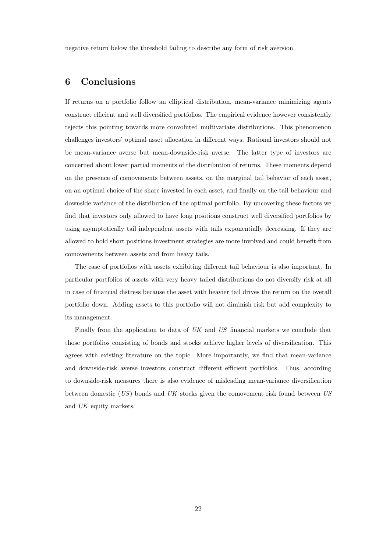negative return below the threshold failing to describe any form of risk aversion.

#### 6 Conclusions

If returns on a portfolio follow an elliptical distribution, mean-variance minimizing agents construct efficient and well diversified portfolios. The empirical evidence however consistently rejects this pointing towards more convoluted multivariate distributions. This phenomenon challenges investors' optimal asset allocation in different ways. Rational investors should not be mean-variance averse but mean-downside-risk averse. The latter type of investors are concerned about lower partial moments of the distribution of returns. These moments depend on the presence of comovements between assets, on the marginal tail behavior of each asset, on an optimal choice of the share invested in each asset, and finally on the tail behaviour and downside variance of the distribution of the optimal portfolio. By uncovering these factors we find that investors only allowed to have long positions construct well diversified portfolios by using asymptotically tail independent assets with tails exponentially decreasing. If they are allowed to hold short positions investment strategies are more involved and could benefit from comovements between assets and from heavy tails.

The case of portfolios with assets exhibiting different tail behaviour is also important. In particular portfolios of assets with very heavy tailed distributions do not diversify risk at all in case of financial distress because the asset with heavier tail drives the return on the overall portfolio down. Adding assets to this portfolio will not diminish risk but add complexity to its management.

Finally from the application to data of UK and US financial markets we conclude that those portfolios consisting of bonds and stocks achieve higher levels of diversification. This agrees with existing literature on the topic. More importantly, we find that mean-variance and downside-risk averse investors construct different efficient portfolios. Thus, according to downside-risk measures there is also evidence of misleading mean-variance diversification between domestic (US) bonds and UK stocks given the comovement risk found between US and UK equity markets.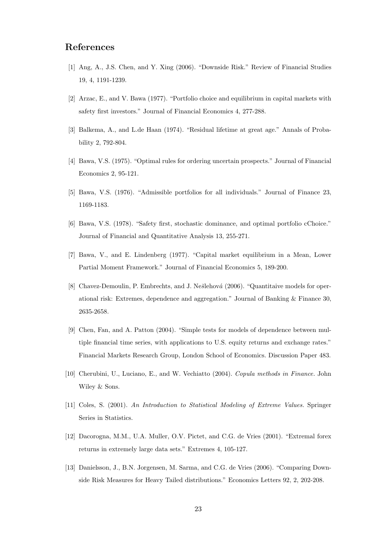## References

- [1] Ang, A., J.S. Chen, and Y. Xing (2006). "Downside Risk." Review of Financial Studies 19, 4, 1191-1239.
- [2] Arzac, E., and V. Bawa (1977). "Portfolio choice and equilibrium in capital markets with safety first investors." Journal of Financial Economics 4, 277-288.
- [3] Balkema, A., and L.de Haan (1974). "Residual lifetime at great age." Annals of Probability 2, 792-804.
- [4] Bawa, V.S. (1975). "Optimal rules for ordering uncertain prospects." Journal of Financial Economics 2, 95-121.
- [5] Bawa, V.S. (1976). "Admissible portfolios for all individuals." Journal of Finance 23, 1169-1183.
- [6] Bawa, V.S. (1978). "Safety first, stochastic dominance, and optimal portfolio cChoice." Journal of Financial and Quantitative Analysis 13, 255-271.
- [7] Bawa, V., and E. Lindenberg (1977). "Capital market equilibrium in a Mean, Lower Partial Moment Framework." Journal of Financial Economics 5, 189-200.
- [8] Chavez-Demoulin, P. Embrechts, and J. Nešlehová (2006). "Quantitaive models for operational risk: Extremes, dependence and aggregation." Journal of Banking & Finance 30, 2635-2658.
- [9] Chen, Fan, and A. Patton (2004). "Simple tests for models of dependence between multiple financial time series, with applications to U.S. equity returns and exchange rates." Financial Markets Research Group, London School of Economics. Discussion Paper 483.
- [10] Cherubini, U., Luciano, E., and W. Vechiatto (2004). Copula methods in Finance. John Wiley & Sons.
- [11] Coles, S. (2001). An Introduction to Statistical Modeling of Extreme Values. Springer Series in Statistics.
- [12] Dacorogna, M.M., U.A. Muller, O.V. Pictet, and C.G. de Vries (2001). "Extremal forex returns in extremely large data sets." Extremes 4, 105-127.
- [13] Danielsson, J., B.N. Jorgensen, M. Sarma, and C.G. de Vries (2006). "Comparing Downside Risk Measures for Heavy Tailed distributions." Economics Letters 92, 2, 202-208.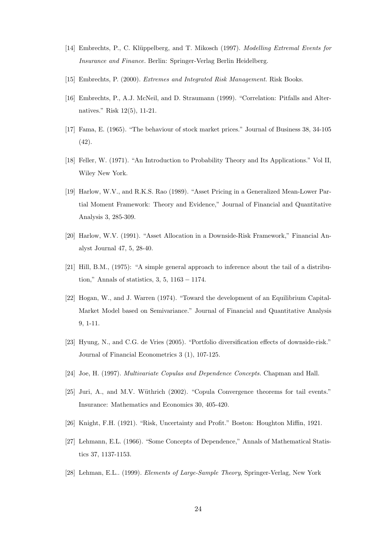- [14] Embrechts, P., C. Klüppelberg, and T. Mikosch (1997). *Modelling Extremal Events for* Insurance and Finance. Berlin: Springer-Verlag Berlin Heidelberg.
- [15] Embrechts, P. (2000). Extremes and Integrated Risk Management. Risk Books.
- [16] Embrechts, P., A.J. McNeil, and D. Straumann (1999). "Correlation: Pitfalls and Alternatives." Risk 12(5), 11-21.
- [17] Fama, E. (1965). "The behaviour of stock market prices." Journal of Business 38, 34-105 (42).
- [18] Feller, W. (1971). "An Introduction to Probability Theory and Its Applications." Vol II, Wiley New York.
- [19] Harlow, W.V., and R.K.S. Rao (1989). "Asset Pricing in a Generalized Mean-Lower Partial Moment Framework: Theory and Evidence," Journal of Financial and Quantitative Analysis 3, 285-309.
- [20] Harlow, W.V. (1991). "Asset Allocation in a Downside-Risk Framework," Financial Analyst Journal 47, 5, 28-40.
- [21] Hill, B.M., (1975): "A simple general approach to inference about the tail of a distribution," Annals of statistics, 3, 5, 1163 − 1174.
- [22] Hogan, W., and J. Warren (1974). "Toward the development of an Equilibrium Capital-Market Model based on Semivariance." Journal of Financial and Quantitative Analysis 9, 1-11.
- [23] Hyung, N., and C.G. de Vries (2005). "Portfolio diversification effects of downside-risk." Journal of Financial Econometrics 3 (1), 107-125.
- [24] Joe, H. (1997). Multivariate Copulas and Dependence Concepts. Chapman and Hall.
- [25] Juri, A., and M.V. Wüthrich (2002). "Copula Convergence theorems for tail events." Insurance: Mathematics and Economics 30, 405-420.
- [26] Knight, F.H. (1921). "Risk, Uncertainty and Profit." Boston: Houghton Miffin, 1921.
- [27] Lehmann, E.L. (1966). "Some Concepts of Dependence," Annals of Mathematical Statistics 37, 1137-1153.
- [28] Lehman, E.L.. (1999). Elements of Large-Sample Theory, Springer-Verlag, New York